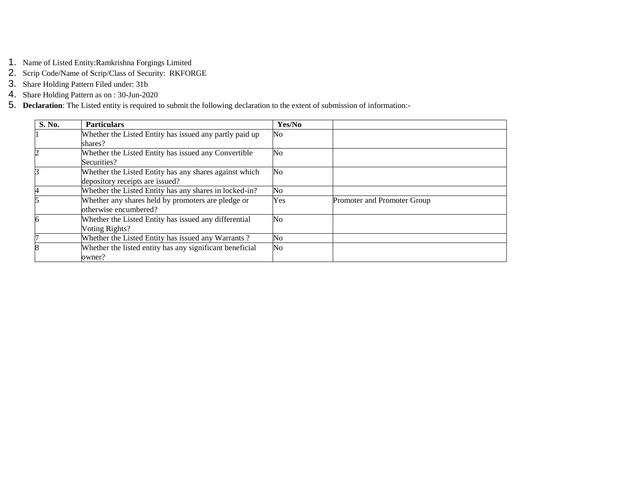- 1. Name of Listed Entity:Ramkrishna Forgings Limited
- 2. Scrip Code/Name of Scrip/Class of Security: RKFORGE
- 3. Share Holding Pattern Filed under: 31b
- 4. Share Holding Pattern as on : 30-Jun-2020
- 5. **Declaration**: The Listed entity is required to submit the following declaration to the extent of submission of information:-

| S. No.                  | <b>Particulars</b>                                       | Yes/No |                             |
|-------------------------|----------------------------------------------------------|--------|-----------------------------|
|                         | Whether the Listed Entity has issued any partly paid up  | No     |                             |
|                         | shares?                                                  |        |                             |
| $\overline{c}$          | Whether the Listed Entity has issued any Convertible     | No     |                             |
|                         | Securities?                                              |        |                             |
| l3                      | Whether the Listed Entity has any shares against which   | No     |                             |
|                         | depository receipts are issued?                          |        |                             |
| 4                       | Whether the Listed Entity has any shares in locked-in?   | No     |                             |
| $\overline{5}$          | Whether any shares held by promoters are pledge or       | Yes    | Promoter and Promoter Group |
|                         | otherwise encumbered?                                    |        |                             |
| 6                       | Whether the Listed Entity has issued any differential    | No     |                             |
|                         | Voting Rights?                                           |        |                             |
|                         | Whether the Listed Entity has issued any Warrants?       | No     |                             |
| $\overline{\mathbf{8}}$ | Whether the listed entity has any significant beneficial | No     |                             |
|                         | owner?                                                   |        |                             |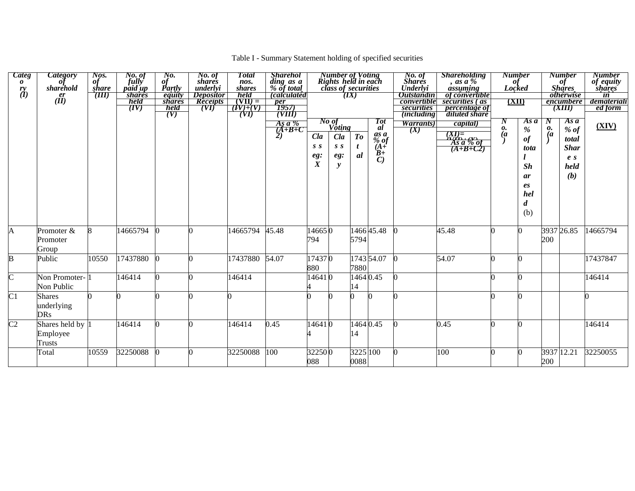## Table I - Summary Statement holding of specified securities

| <b>Categ</b><br>$\boldsymbol{\theta}$<br>$\overset{ry}{(l)}$ | <b>Category</b><br>sharehold<br>$\frac{er}{dI}$ | Nos.<br>of<br>share<br>(III) | No. of<br>fully<br><i>paid up</i><br><i>shares</i><br>held<br>(IV) | No.<br>of<br>Partly<br>equity<br><b>shares</b><br>held<br>(V) | No. of<br>shares<br>underlvi<br><i>Depositor</i><br><b>Receipts</b><br>(VI) | <b>Total</b><br>nos.<br>shares<br>held<br>$(VII) =$<br>$\overline{(IV)+(V)}$<br>(VI) | <b>Sharehol</b><br>ding as a<br>% of total<br>(calculatéd<br>$\frac{per}{1957}$<br>(VIIÍ) |                                       | <b>Number of Voting<br/>Rights held in each<br/>class of securities</b> | $\left(IX\right)$    |                                                                                 | No. of<br>Shares<br>Underlyi<br><b>Outstandin</b><br>convertible<br>securities<br><i>(including)</i> | <b>Shareholding</b><br>$\frac{1}{4}$ , as a %<br>of convertible<br>securities (as<br><i>percentage of</i><br>diluted share | of<br>Locked              | <b>Number</b><br>(XII)                                             |                           | <b>Number</b><br>of<br>Shares<br><i>otherwise</i><br>encumbere<br>(XIII) | <b>Number</b><br>of equity<br>shares<br>$\overline{\mathbf{in}}$<br>demateriali<br>ed form |
|--------------------------------------------------------------|-------------------------------------------------|------------------------------|--------------------------------------------------------------------|---------------------------------------------------------------|-----------------------------------------------------------------------------|--------------------------------------------------------------------------------------|-------------------------------------------------------------------------------------------|---------------------------------------|-------------------------------------------------------------------------|----------------------|---------------------------------------------------------------------------------|------------------------------------------------------------------------------------------------------|----------------------------------------------------------------------------------------------------------------------------|---------------------------|--------------------------------------------------------------------|---------------------------|--------------------------------------------------------------------------|--------------------------------------------------------------------------------------------|
|                                                              |                                                 |                              |                                                                    |                                                               |                                                                             |                                                                                      | As a %<br>$\overrightarrow{A+B+C}$                                                        | Cla<br>S S<br>eg:<br>$\boldsymbol{X}$ | $\frac{N_o \text{ of}}{V \text{oting}}$<br>Cla<br>S S<br>eg:<br>y       | T <sub>o</sub><br>al | Tot<br>al<br>$\frac{as}{\%}$ of<br>$(A^{\prime})^2$<br>$B+$<br>$\overline{C}$ ) | Warrants)<br>(X)                                                                                     | capital)<br>$\frac{(XI) =}{\overbrace{AS} \overbrace{a} \overbrace{b} \overbrace{of}}$<br>$(A+B+C2)$                       | N<br>0.<br>$\overline{a}$ | As a<br>%<br>$\it of$<br>tota<br>Sh<br>ar<br>es<br>hel<br>d<br>(b) | N<br>0.<br>$\overline{a}$ | Asa<br>$%$ of<br>total<br><b>Shar</b><br>e <sub>s</sub><br>held<br>(b)   | (XIV)                                                                                      |
| A                                                            | Promoter &<br>Promoter<br>Group                 | 8                            | 14665794                                                           |                                                               |                                                                             | 14665794                                                                             | 45.48                                                                                     | 146650<br>794                         |                                                                         | 5794                 | 146645.48                                                                       |                                                                                                      | 45.48                                                                                                                      |                           | n                                                                  | 200                       | 3937 26.85                                                               | 14665794                                                                                   |
| $\mathbf{B}$                                                 | Public                                          | 10550                        | 17437880                                                           |                                                               |                                                                             | 17437880                                                                             | 54.07                                                                                     | 174370<br>880                         |                                                                         | 7880                 | 1743 54.07                                                                      |                                                                                                      | 54.07                                                                                                                      |                           | O                                                                  |                           |                                                                          | 17437847                                                                                   |
| $\overline{\rm c}$                                           | Non Promoter-<br>Non Public                     |                              | 146414                                                             |                                                               |                                                                             | 146414                                                                               |                                                                                           | 146410                                |                                                                         | 14                   | 1464 0.45                                                                       |                                                                                                      |                                                                                                                            |                           | n                                                                  |                           |                                                                          | 146414                                                                                     |
| C <sub>1</sub>                                               | <b>Shares</b><br>underlying<br><b>DRs</b>       |                              |                                                                    |                                                               |                                                                             |                                                                                      |                                                                                           |                                       |                                                                         |                      |                                                                                 |                                                                                                      |                                                                                                                            |                           |                                                                    |                           |                                                                          |                                                                                            |
| C <sub>2</sub>                                               | Shares held by<br>Employee<br>Trusts            |                              | 146414                                                             |                                                               |                                                                             | 146414                                                                               | 0.45                                                                                      | 146410                                |                                                                         | 14                   | 1464 0.45                                                                       |                                                                                                      | 0.45                                                                                                                       |                           |                                                                    |                           |                                                                          | 146414                                                                                     |
|                                                              | Total                                           | 10559                        | 32250088                                                           |                                                               |                                                                             | 32250088                                                                             | 100                                                                                       | 322500<br>088                         |                                                                         | 0088                 | 3225 100                                                                        |                                                                                                      | 100                                                                                                                        |                           |                                                                    | 200                       | 3937 12.21                                                               | 32250055                                                                                   |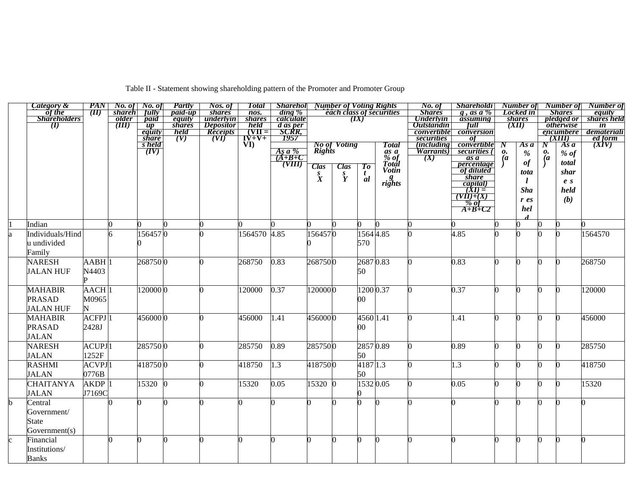|  |  | Table II - Statement showing shareholding pattern of the Promoter and Promoter Group |
|--|--|--------------------------------------------------------------------------------------|
|  |  |                                                                                      |

|    | Category &             | <b>PAN</b>           | No. of         | No. of                                                                      | Partly                  | Nos. of                       | <b>Total</b>              | <b>Sharehol</b> Number of Voting Rights |                  |                     |                |                          | No. of                                | <b>Shareholdi</b>                              |                |                 |                  | <b>Number of</b> Number of            | Number of                      |
|----|------------------------|----------------------|----------------|-----------------------------------------------------------------------------|-------------------------|-------------------------------|---------------------------|-----------------------------------------|------------------|---------------------|----------------|--------------------------|---------------------------------------|------------------------------------------------|----------------|-----------------|------------------|---------------------------------------|--------------------------------|
|    | of the<br>Shareholders | $(\boldsymbol{\Pi})$ | <b>shareh</b>  | fully                                                                       | <i>paid-up</i>          | <i>shares</i>                 | $\overline{n}$ os.        | $\dim g \%$                             |                  |                     |                | each class of securities | <b>Shares</b>                         | g, as a $\%$                                   |                | Locked in       |                  | <b>Shares</b>                         | equity                         |
|    | $\mathbf{I}(I)$        |                      | older<br>(III) | paid<br>$\mu$                                                               | equity<br><i>shares</i> | underlyin<br><b>Depositor</b> | <i>shares</i><br>held     | calculate                               |                  |                     | (IX)           |                          | <b>Underlyin</b><br><b>Outstandin</b> | assuming<br>full                               |                | shares<br>(XII) |                  | <i>pledged or</i><br><i>otherwise</i> | shares held<br>$\overline{in}$ |
|    |                        |                      |                | equity                                                                      | held                    | Receipts                      | $\overline{\text{VII}}$ = |                                         |                  |                     |                |                          | convertible                           | conversion                                     |                |                 |                  | encumbere                             | demateriali                    |
|    |                        |                      |                | <i>share</i>                                                                | (V)                     | (VI)                          | $\overrightarrow{VD}$     | <u>d as per</u><br>SCRR,<br>1957        |                  |                     |                |                          | securities                            | $\overline{of}$                                |                |                 |                  | (XIII)                                | ed form                        |
|    |                        |                      |                | $\frac{\overline{s}}{\overline{s}} \frac{\overline{held}}{\overline{(IV)}}$ |                         |                               |                           |                                         |                  | <b>No of Voting</b> |                | <b>Total</b>             | <i>including</i>                      | convertible                                    | $\bm{N}$       | As a            | $\boldsymbol{N}$ | Asa                                   | $\overline{(XIV)}$             |
|    |                        |                      |                |                                                                             |                         |                               |                           | <u>As a %<br/>(A+B+C</u>                | Rights           |                     |                | $\frac{as}{\%}$ of       | <i>Warrants</i> )                     | securities (                                   | 0.             | $\%$            | 0.               | $%$ of                                |                                |
|    |                        |                      |                |                                                                             |                         |                               |                           | (TIII)                                  |                  |                     |                | Total                    | (X)                                   | as a                                           | $\overline{a}$ | $\it of$        | $\overline{a}$   | total                                 |                                |
|    |                        |                      |                |                                                                             |                         |                               |                           |                                         | <b>Clas</b>      | <b>Clas</b>         | To             | <b>Votin</b>             |                                       | <i>percentage</i><br>of diluted                |                | tota            |                  | shar                                  |                                |
|    |                        |                      |                |                                                                             |                         |                               |                           |                                         | $\overset{S}{X}$ | $\frac{s}{Y}$       | $\frac{t}{al}$ |                          |                                       | <i>share</i>                                   |                |                 |                  |                                       |                                |
|    |                        |                      |                |                                                                             |                         |                               |                           |                                         |                  |                     |                | $\frac{g}{right}$        |                                       |                                                |                |                 |                  | e <sub>s</sub>                        |                                |
|    |                        |                      |                |                                                                             |                         |                               |                           |                                         |                  |                     |                |                          |                                       |                                                |                | <b>Sha</b>      |                  | held                                  |                                |
|    |                        |                      |                |                                                                             |                         |                               |                           |                                         |                  |                     |                |                          |                                       | $\frac{capital)}{(XI) = \frac{(YII)+(X)}{00}}$ |                | $r$ es          |                  | (b)                                   |                                |
|    |                        |                      |                |                                                                             |                         |                               |                           |                                         |                  |                     |                |                          |                                       | $\overrightarrow{A+B+C2}$                      |                | hel             |                  |                                       |                                |
|    |                        |                      |                |                                                                             |                         |                               |                           |                                         |                  |                     |                |                          |                                       |                                                |                |                 |                  |                                       |                                |
|    | Indian                 |                      |                |                                                                             |                         |                               |                           |                                         |                  |                     |                |                          |                                       |                                                |                |                 |                  |                                       |                                |
| ła | Individuals/Hind       |                      |                | 1564570                                                                     |                         |                               | 1564570 4.85              |                                         | 1564570          |                     |                | 1564 4.85                |                                       | 4.85                                           |                |                 |                  |                                       | 1564570                        |
|    | u undivided            |                      |                |                                                                             |                         |                               |                           |                                         |                  |                     | 570            |                          |                                       |                                                |                |                 |                  |                                       |                                |
|    | Family                 |                      |                |                                                                             |                         |                               |                           |                                         |                  |                     |                |                          |                                       |                                                |                |                 |                  |                                       |                                |
|    | <b>NARESH</b>          | AABH <sup>1</sup>    |                | 2687500                                                                     |                         |                               | 268750                    | 0.83                                    | 2687500          |                     | 26870.83       |                          |                                       | 0.83                                           |                |                 |                  |                                       | 268750                         |
|    | <b>JALAN HUF</b>       | N4403                |                |                                                                             |                         |                               |                           |                                         |                  |                     | 50             |                          |                                       |                                                |                |                 |                  |                                       |                                |
|    |                        |                      |                |                                                                             |                         |                               |                           |                                         |                  |                     |                |                          |                                       |                                                |                |                 |                  |                                       |                                |
|    | <b>MAHABIR</b>         | AACH <sub>1</sub>    |                | 120000 0                                                                    |                         |                               | 120000                    | 0.37                                    | 1200000          |                     |                | 1200 0.37                |                                       | 0.37                                           |                | ∩               | n                | n                                     | 120000                         |
|    |                        |                      |                |                                                                             |                         |                               |                           |                                         |                  |                     |                |                          |                                       |                                                |                |                 |                  |                                       |                                |
|    | <b>PRASAD</b>          | M0965                |                |                                                                             |                         |                               |                           |                                         |                  |                     | 00             |                          |                                       |                                                |                |                 |                  |                                       |                                |
|    | <b>JALAN HUF</b>       |                      |                |                                                                             |                         |                               |                           |                                         |                  |                     |                |                          |                                       |                                                |                |                 |                  |                                       |                                |
|    | <b>MAHABIR</b>         | $ACFPJ$ <sup>1</sup> |                | 4560000                                                                     |                         |                               | 456000                    | 1.41                                    | 4560000          |                     | 4560 1.41      |                          |                                       | 1.41                                           |                |                 |                  |                                       | 456000                         |
|    | <b>PRASAD</b>          | 2428J                |                |                                                                             |                         |                               |                           |                                         |                  |                     | $00\,$         |                          |                                       |                                                |                |                 |                  |                                       |                                |
|    | <b>JALAN</b>           |                      |                |                                                                             |                         |                               |                           |                                         |                  |                     |                |                          |                                       |                                                |                |                 |                  |                                       |                                |
|    | <b>NARESH</b>          | <b>ACUPJ</b> 1       |                | 2857500                                                                     |                         |                               | 285750                    | 0.89                                    | 2857500          |                     | 28570.89       |                          |                                       | 0.89                                           |                | ∩               | O                |                                       | 285750                         |
|    | <b>JALAN</b>           | 1252F                |                |                                                                             |                         |                               |                           |                                         |                  |                     | 50             |                          |                                       |                                                |                |                 |                  |                                       |                                |
|    | <b>RASHMI</b>          | <b>ACVPJ</b> 1       |                | 4187500                                                                     |                         |                               | 418750                    | 1.3                                     | 4187500          |                     | 4187 1.3       |                          |                                       | 1.3                                            |                |                 |                  |                                       | 418750                         |
|    | <b>JALAN</b>           | 0776B                |                |                                                                             |                         |                               |                           |                                         |                  |                     | 50             |                          |                                       |                                                |                |                 |                  |                                       |                                |
|    | <b>CHAITANYA</b>       | AKDP <sup>1</sup>    |                | 15320 0                                                                     |                         |                               | 15320                     | 0.05                                    | 15320 0          |                     |                | 1532 0.05                |                                       | 0.05                                           |                |                 | O                |                                       | 15320                          |
|    | <b>JALAN</b>           | J7169C               |                |                                                                             |                         |                               |                           |                                         |                  |                     |                |                          |                                       |                                                |                |                 |                  |                                       |                                |
|    | Central                |                      |                |                                                                             |                         |                               |                           |                                         |                  |                     |                |                          |                                       |                                                |                |                 |                  |                                       | 0                              |
|    | Government/            |                      |                |                                                                             |                         |                               |                           |                                         |                  |                     |                |                          |                                       |                                                |                |                 |                  |                                       |                                |
|    | <b>State</b>           |                      |                |                                                                             |                         |                               |                           |                                         |                  |                     |                |                          |                                       |                                                |                |                 |                  |                                       |                                |
|    |                        |                      |                |                                                                             |                         |                               |                           |                                         |                  |                     |                |                          |                                       |                                                |                |                 |                  |                                       |                                |
|    | Government(s)          |                      |                |                                                                             |                         |                               |                           |                                         |                  |                     |                |                          |                                       |                                                |                |                 |                  |                                       |                                |
|    | Financial              |                      |                |                                                                             |                         |                               |                           |                                         |                  |                     | 0              |                          |                                       |                                                |                |                 | n                |                                       |                                |
|    | Institutions/          |                      |                |                                                                             |                         |                               |                           |                                         |                  |                     |                |                          |                                       |                                                |                |                 |                  |                                       |                                |
|    | <b>Banks</b>           |                      |                |                                                                             |                         |                               |                           |                                         |                  |                     |                |                          |                                       |                                                |                |                 |                  |                                       |                                |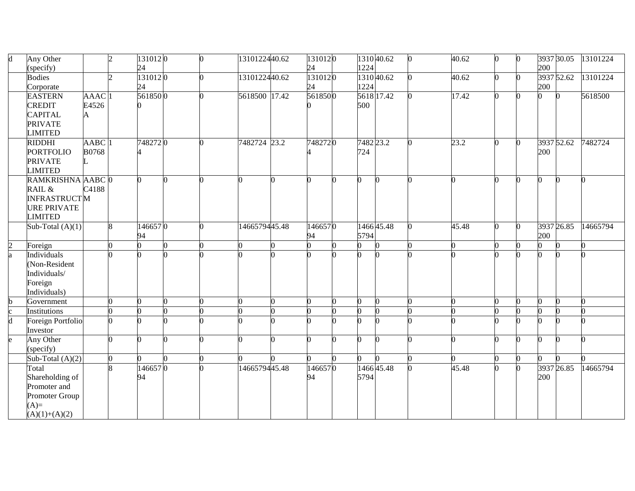|              | Any Other                 |                   | $\overline{c}$ | 1310120 | O. | 1310122440.62 | 1310120 |            | 131040.62  | 40.62 | 0        |    |     | 3937 30.05 | 13101224 |
|--------------|---------------------------|-------------------|----------------|---------|----|---------------|---------|------------|------------|-------|----------|----|-----|------------|----------|
|              | specify)                  |                   |                | 24      |    |               | 24      | 1224       |            |       |          |    | 200 |            |          |
|              | <b>Bodies</b>             |                   | $\mathcal{D}$  | 1310120 |    | 1310122440.62 | 1310120 | 1310 40.62 |            | 40.62 | 0        |    |     | 3937 52.62 | 13101224 |
|              | Corporate                 |                   |                | 24      |    |               | 24      | 1224       |            |       |          |    | 200 |            |          |
|              | <b>EASTERN</b>            | AAAC <sup>1</sup> |                | 5618500 |    | 5618500 17.42 | 5618500 | 5618 17.42 |            | 17.42 | Λ        |    |     |            | 5618500  |
|              | <b>CREDIT</b>             | E4526             |                |         |    |               |         | 500        |            |       |          |    |     |            |          |
|              | <b>CAPITAL</b>            | A                 |                |         |    |               |         |            |            |       |          |    |     |            |          |
|              | <b>PRIVATE</b>            |                   |                |         |    |               |         |            |            |       |          |    |     |            |          |
|              | <b>LIMITED</b>            |                   |                |         |    |               |         |            |            |       |          |    |     |            |          |
|              | <b>RIDDHI</b>             | AABC <sup>1</sup> |                | 7482720 |    | 7482724 23.2  | 7482720 | 7482 23.2  |            | 23.2  |          |    |     | 3937 52.62 | 7482724  |
|              | <b>PORTFOLIO</b>          | <b>B0768</b>      |                |         |    |               |         | 724        |            |       |          |    | 200 |            |          |
|              | <b>PRIVATE</b>            |                   |                |         |    |               |         |            |            |       |          |    |     |            |          |
|              | <b>LIMITED</b>            |                   |                |         |    |               |         |            |            |       |          |    |     |            |          |
|              | RAMKRISHNA AABC 0         |                   | 0              |         |    |               |         |            |            |       |          |    | 0   |            |          |
|              | RAIL &                    | C4188             |                |         |    |               |         |            |            |       |          |    |     |            |          |
|              | <b>INFRASTRUCTM</b>       |                   |                |         |    |               |         |            |            |       |          |    |     |            |          |
|              | <b>URE PRIVATE</b>        |                   |                |         |    |               |         |            |            |       |          |    |     |            |          |
|              | <b>LIMITED</b>            |                   |                |         |    |               |         |            |            |       |          |    |     |            |          |
|              | Sub-Total $(A)(1)$        |                   | 8              | 1466570 |    | 1466579445.48 | 1466570 |            | 1466 45.48 | 45.48 | 0        |    |     | 3937 26.85 | 14665794 |
|              |                           |                   |                | 94      |    |               | 94      | 5794       |            |       |          |    | 200 |            |          |
| 2            | Foreign                   |                   | O.<br>0        |         | n  |               |         |            |            | ∩     |          |    |     |            |          |
| a            | Individuals               |                   |                |         |    |               |         |            |            |       |          |    |     |            |          |
|              | (Non-Resident             |                   |                |         |    |               |         |            |            |       |          |    |     |            |          |
|              | Individuals/              |                   |                |         |    |               |         |            |            |       |          |    |     |            |          |
|              | Foreign                   |                   |                |         |    |               |         |            |            |       |          |    |     |            |          |
|              | Individuals)              |                   |                |         |    |               |         |            |            |       |          |    |     |            |          |
| b            | Government                |                   |                |         |    |               |         |            |            |       |          |    |     |            |          |
|              |                           |                   | 0<br>0         |         |    |               |         |            |            |       |          |    |     |            |          |
|              | Institutions              |                   | O<br>0         |         |    |               |         |            |            | n     |          |    |     |            |          |
| $\mathsf{h}$ | <b>Foreign Portfolio</b>  |                   | O              |         |    |               |         |            |            |       |          |    |     |            |          |
|              | Investor                  |                   |                |         |    |               |         |            |            |       |          |    |     |            |          |
|              | Any Other                 |                   | n<br>∩         |         |    |               |         |            |            |       | $\Omega$ | n. | n   |            |          |
|              | (specify)                 |                   |                |         |    |               |         |            |            |       |          |    |     |            |          |
|              | Sub-Total $(A)(2)$        |                   | O.             | 0       | n  |               |         |            |            | n     | 0        | 0  | 0   |            |          |
|              | Total                     |                   |                | 1466570 |    | 1466579445.48 | 1466570 |            | 146645.48  | 45.48 | $\Omega$ |    |     | 3937 26.85 | 14665794 |
|              | Shareholding of           |                   |                | 94      |    |               | 94      | 5794       |            |       |          |    | 200 |            |          |
|              | Promoter and              |                   |                |         |    |               |         |            |            |       |          |    |     |            |          |
|              | Promoter Group            |                   |                |         |    |               |         |            |            |       |          |    |     |            |          |
|              | $(A)=$<br>$(A)(1)+(A)(2)$ |                   |                |         |    |               |         |            |            |       |          |    |     |            |          |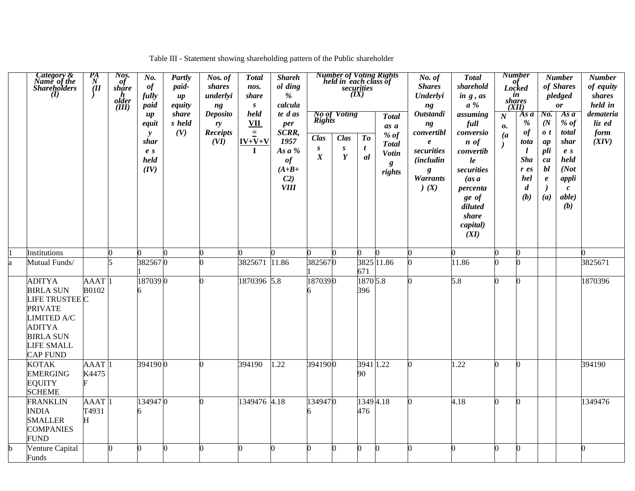| Table III - Statement showing shareholding pattern of the Public shareholder |  |  |
|------------------------------------------------------------------------------|--|--|
|                                                                              |  |  |

| Category &<br>Name of the<br>Shareholders<br>$\mathbf{U}$                                                                                                         | $\frac{P_{A}}{N}$         | Nos.<br>$\ddot{\theta}$<br>share<br>$\boldsymbol{h}$<br>older<br>(III) | No.<br>of<br>fully<br>paid<br>$\mu$<br>equit<br>$\mathbf{y}$<br>shar<br>e <sub>s</sub><br>held<br>(IV) | Partly<br>paid-<br>$\boldsymbol{u}$<br>equity<br>share<br>s held<br>(V) | Nos. of<br>shares<br>underlyi<br>ng<br><b>Deposito</b><br>ry<br><b>Receipts</b><br>(VI) | <b>Total</b><br>nos.<br>share<br>$\boldsymbol{S}$<br>held<br>VII<br>$\equiv$<br>$IV+V+V$<br>$\mathbf I$ | <b>Shareh</b><br>ol ding<br>$\%$<br>calcula<br>te d as<br>per<br>SCRR,<br>1957<br>As $a\%$<br>of<br>$(A+B+$<br>C <sub>2</sub><br><b>VIII</b> | Rights<br><b>Clas</b><br>$\boldsymbol{S}$<br>$\boldsymbol{X}$ | <b>No of Voting</b><br>Clas<br>$\boldsymbol{s}$<br>Y | (IX)<br>$\boldsymbol{To}$<br>$\mathbf{t}$<br>al | <b>Number of Voting Rights</b><br>held in each class of<br>securities<br><b>Total</b><br>as a<br>% $of$<br><b>Total</b><br><b>Votin</b><br>g<br>rights | No. of<br><b>Shares</b><br>Underlyi<br>ng<br><b>Outstandi</b><br>ng<br>convertibl<br>$\pmb{e}$<br>securities<br><i>(includin</i><br>g<br><b>Warrants</b><br>(X) | <b>Total</b><br>sharehold<br>in g, as<br>$a \mathcal{C}$<br>assuming<br>full<br>conversio<br>$\boldsymbol{n}$ of<br>convertib<br>le<br>securities<br>(as a<br>percenta<br>ge of<br>diluted<br>share<br>capital)<br>(XI) | of<br>Locked<br>$\boldsymbol{N}$<br>0.<br>$\overline{a}$ | <b>Number</b><br>in<br><i>shares</i><br>(XII)<br>As a<br>%<br>of<br>tota<br>$\boldsymbol{l}$<br><b>Sha</b><br>$r$ es<br>hel<br>$\boldsymbol{d}$<br>(b) | $N_{0}$<br>(N <sup>2</sup> )<br>$\boldsymbol{0}$ t<br>ap<br>pli<br>ca<br>bl<br>$\boldsymbol{e}$<br>(a) | <b>Number</b><br>of Shares<br>pledged<br>$\boldsymbol{\theta}$ r<br>Asa<br>$%$ of<br>total<br>shar<br>e <sub>s</sub><br>held<br>(Not<br>appli<br>$\boldsymbol{c}$<br>able)<br>(b) | <b>Number</b><br>of equity<br>shares<br>held in<br>demateria<br>liz ed<br>form<br>(XIV) |
|-------------------------------------------------------------------------------------------------------------------------------------------------------------------|---------------------------|------------------------------------------------------------------------|--------------------------------------------------------------------------------------------------------|-------------------------------------------------------------------------|-----------------------------------------------------------------------------------------|---------------------------------------------------------------------------------------------------------|----------------------------------------------------------------------------------------------------------------------------------------------|---------------------------------------------------------------|------------------------------------------------------|-------------------------------------------------|--------------------------------------------------------------------------------------------------------------------------------------------------------|-----------------------------------------------------------------------------------------------------------------------------------------------------------------|-------------------------------------------------------------------------------------------------------------------------------------------------------------------------------------------------------------------------|----------------------------------------------------------|--------------------------------------------------------------------------------------------------------------------------------------------------------|--------------------------------------------------------------------------------------------------------|-----------------------------------------------------------------------------------------------------------------------------------------------------------------------------------|-----------------------------------------------------------------------------------------|
| Institutions                                                                                                                                                      |                           | 0                                                                      | 0                                                                                                      | n                                                                       |                                                                                         |                                                                                                         |                                                                                                                                              |                                                               |                                                      |                                                 |                                                                                                                                                        |                                                                                                                                                                 | n                                                                                                                                                                                                                       |                                                          | 0                                                                                                                                                      |                                                                                                        |                                                                                                                                                                                   |                                                                                         |
| Mutual Funds/                                                                                                                                                     |                           |                                                                        | 3825670                                                                                                |                                                                         |                                                                                         | 3825671                                                                                                 | 11.86                                                                                                                                        | 3825670                                                       |                                                      |                                                 | 3825 11.86                                                                                                                                             |                                                                                                                                                                 | 11.86                                                                                                                                                                                                                   |                                                          |                                                                                                                                                        |                                                                                                        |                                                                                                                                                                                   | 3825671                                                                                 |
| <b>ADITYA</b><br><b>BIRLA SUN</b><br>LIFE TRUSTEE C<br><b>PRIVATE</b><br><b>LIMITED A/C</b><br><b>ADITYA</b><br><b>BIRLA SUN</b><br>LIFE SMALL<br><b>CAP FUND</b> | <b>AAAT</b><br>B0102      |                                                                        | 1870390<br>6                                                                                           |                                                                         |                                                                                         | 1870396 5.8                                                                                             |                                                                                                                                              | 1870390                                                       |                                                      | 671<br>1870 5.8<br>396                          |                                                                                                                                                        | 0                                                                                                                                                               | 5.8                                                                                                                                                                                                                     |                                                          | n                                                                                                                                                      |                                                                                                        |                                                                                                                                                                                   | 1870396                                                                                 |
| <b>KOTAK</b><br><b>EMERGING</b><br><b>EQUITY</b><br><b>SCHEME</b>                                                                                                 | <b>AAAT</b><br>K4475      |                                                                        | 3941900                                                                                                |                                                                         |                                                                                         | 394190                                                                                                  | 1.22                                                                                                                                         | 3941900                                                       |                                                      | 3941<br>90                                      | 1.22                                                                                                                                                   |                                                                                                                                                                 | 1.22                                                                                                                                                                                                                    |                                                          |                                                                                                                                                        |                                                                                                        |                                                                                                                                                                                   | 394190                                                                                  |
| <b>FRANKLIN</b><br><b>INDIA</b><br><b>SMALLER</b><br><b>COMPANIES</b><br><b>FUND</b>                                                                              | <b>AAAT</b><br>T4931<br>Н |                                                                        | 1349470<br>6                                                                                           |                                                                         |                                                                                         | 1349476 4.18                                                                                            |                                                                                                                                              | 1349470                                                       |                                                      | 13494.18<br>476                                 |                                                                                                                                                        | 0                                                                                                                                                               | 4.18                                                                                                                                                                                                                    |                                                          | n                                                                                                                                                      |                                                                                                        |                                                                                                                                                                                   | 1349476                                                                                 |
| Venture Capital<br>Funds                                                                                                                                          |                           | n                                                                      | O.                                                                                                     | O                                                                       |                                                                                         |                                                                                                         |                                                                                                                                              | 0                                                             |                                                      |                                                 |                                                                                                                                                        | n                                                                                                                                                               | ∩                                                                                                                                                                                                                       |                                                          | n                                                                                                                                                      |                                                                                                        |                                                                                                                                                                                   | $\Omega$                                                                                |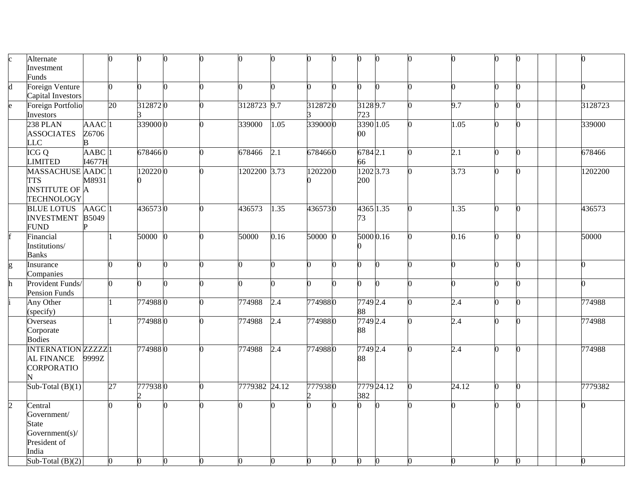|                             | Alternate                 |                     |              |          |    |   |               |                  |         |   | 0         |            |                    |    |          |         |
|-----------------------------|---------------------------|---------------------|--------------|----------|----|---|---------------|------------------|---------|---|-----------|------------|--------------------|----|----------|---------|
|                             | Investment                |                     |              |          |    |   |               |                  |         |   |           |            |                    |    |          |         |
|                             | Funds                     |                     |              |          |    |   |               |                  |         |   |           |            |                    |    |          |         |
|                             | <b>Foreign Venture</b>    |                     | O.           | ∩        | n. |   |               |                  |         |   | 0         |            |                    |    |          | 0       |
|                             | Capital Investors         |                     |              |          |    |   |               |                  |         |   |           |            |                    |    |          |         |
| e                           | Foreign Portfolio         |                     | 20           | 3128720  |    |   | 3128723 9.7   |                  | 3128720 |   | 31289.7   |            | 9.7                | U  | ∩        | 3128723 |
|                             | Investors                 |                     |              |          |    |   |               |                  |         |   | 723       |            |                    |    |          |         |
|                             | 238 PLAN                  | AAAC <sup>1</sup>   |              | 339000 0 |    | 0 | 339000        | 1.05             | 3390000 |   | 3390 1.05 |            | $\overline{1.05}$  | 0  |          | 339000  |
|                             | <b>ASSOCIATES</b>         | Z6706               |              |          |    |   |               |                  |         |   | $00\,$    |            |                    |    |          |         |
|                             | LC                        | B                   |              |          |    |   |               |                  |         |   |           |            |                    |    |          |         |
|                             | $\overline{ICGQ}$         | AABC <sub>1</sub>   |              | 6784660  |    |   | 678466        | $\overline{2.1}$ | 6784660 |   | 6784 2.1  |            | 2.1                |    |          | 678466  |
|                             | <b>IMITED</b>             | I4677H              |              |          |    |   |               |                  |         |   | 66        |            |                    |    |          |         |
|                             | <b>MASSACHUSE AADC</b> 1  |                     |              | 1202200  |    |   | 1202200 3.73  |                  | 1202200 |   | 1202 3.73 |            | 3.73               | 0  | n        | 1202200 |
|                             | <b>TTS</b>                | M8931               |              |          |    |   |               |                  |         |   | 200       |            |                    |    |          |         |
|                             | <b>INSTITUTE OF A</b>     |                     |              |          |    |   |               |                  |         |   |           |            |                    |    |          |         |
|                             | <b>TECHNOLOGY</b>         |                     |              |          |    |   |               |                  |         |   |           |            |                    |    |          |         |
|                             | <b>BLUE LOTUS</b>         | $AAGC$ <sup>1</sup> |              | 4365730  |    | 0 | 436573        | 1.35             | 4365730 |   | 4365 1.35 |            | 1.35               | O. | $\Omega$ | 436573  |
|                             | <b>INVESTMENT</b>         | B5049               |              |          |    |   |               |                  |         |   | 73        |            |                    |    |          |         |
|                             | <b>FUND</b>               |                     |              |          |    |   |               |                  |         |   |           |            |                    |    |          |         |
|                             | Financial                 |                     |              | 50000 0  |    | 0 | 50000         | 0.16             | 50000 0 |   | 5000 0.16 |            | 0.16               | n. | $\Omega$ | 50000   |
|                             | Institutions/             |                     |              |          |    |   |               |                  |         |   |           |            |                    |    |          |         |
|                             | <b>Banks</b>              |                     |              |          |    |   |               |                  |         |   |           |            |                    |    |          |         |
| g                           | Insurance                 |                     | 0            | 0        | n. | 0 | <sup>0</sup>  | n                | n       |   | 0         | $\Omega$   | n.                 | n. | n.       | 0       |
|                             | Companies                 |                     |              |          |    |   |               |                  |         |   |           |            |                    |    |          |         |
|                             | Provident Funds/          |                     |              |          | n. |   |               |                  |         |   | n.        | n          |                    | 0  |          | 0       |
|                             | Pension Funds             |                     |              |          |    |   |               |                  |         |   |           |            |                    |    |          |         |
|                             | Any Other                 |                     |              | 7749880  |    |   | 774988        | 2.4              | 7749880 |   | 7749 2.4  |            | 2.4                | n. |          | 774988  |
|                             | specify)                  |                     |              |          |    |   |               |                  |         |   | 88        |            |                    |    |          |         |
|                             | Overseas                  |                     |              | 7749880  |    |   | 774988        | 2.4              | 7749880 |   | 7749 2.4  |            | 2.4                |    |          | 774988  |
|                             | Corporate                 |                     |              |          |    |   |               |                  |         |   | 88        |            |                    |    |          |         |
|                             | <b>Bodies</b>             |                     |              |          |    |   |               |                  |         |   |           |            |                    |    |          |         |
|                             | <b>INTERNATION ZZZZZ1</b> |                     |              | 7749880  |    |   | 774988        | 2.4              | 7749880 |   | 7749 2.4  |            | 2.4                | n  | 0        | 774988  |
|                             | <b>AL FINANCE</b>         | 9999Z               |              |          |    |   |               |                  |         |   | 88        |            |                    |    |          |         |
|                             | CORPORATIO                |                     |              |          |    |   |               |                  |         |   |           |            |                    |    |          |         |
|                             |                           |                     |              |          |    |   |               |                  |         |   |           |            |                    |    |          |         |
|                             | Sub-Total $(B)(1)$        |                     | 27           | 7779380  |    |   | 7779382 24.12 |                  | 7779380 |   |           | 7779 24.12 | $\overline{24.12}$ | 0  | n.       | 7779382 |
|                             |                           |                     |              |          |    |   |               |                  |         |   | 382       |            |                    |    |          |         |
| $\mathcal{D}_{\mathcal{L}}$ | Central                   |                     |              |          |    |   |               |                  |         |   |           |            |                    |    | 0        |         |
|                             | Government/               |                     |              |          |    |   |               |                  |         |   |           |            |                    |    |          |         |
|                             | State                     |                     |              |          |    |   |               |                  |         |   |           |            |                    |    |          |         |
|                             | Government(s)/            |                     |              |          |    |   |               |                  |         |   |           |            |                    |    |          |         |
|                             | President of              |                     |              |          |    |   |               |                  |         |   |           |            |                    |    |          |         |
|                             | India                     |                     |              |          |    |   |               |                  |         |   |           |            |                    |    |          |         |
|                             | Sub-Total $(B)(2)$        |                     | $\mathbf{0}$ | $\Omega$ | O. | 0 | U             | n                |         | 0 | 0         |            | ∩                  | ∩  | n        | 0       |
|                             |                           |                     |              |          |    |   |               |                  |         |   |           |            |                    |    |          |         |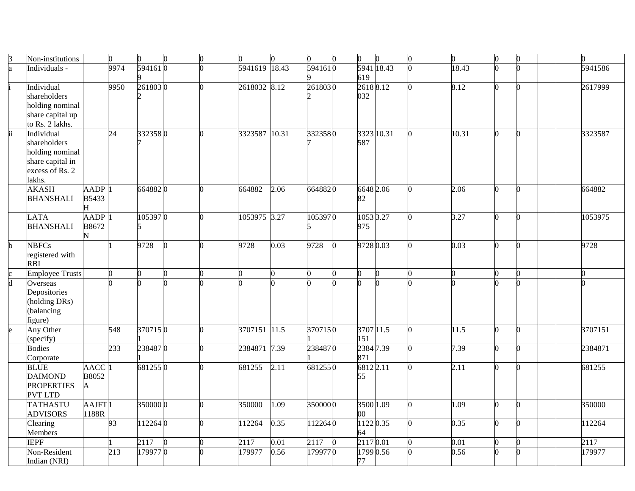|                         | Non-institutions         |                    | $\overline{0}$  | 0              | $\overline{0}$ | $\Omega$ | $\overline{0}$ | 0     | O.      | 0          |  | 0     | $\bf{0}$ |  | 0       |
|-------------------------|--------------------------|--------------------|-----------------|----------------|----------------|----------|----------------|-------|---------|------------|--|-------|----------|--|---------|
| a                       | Individuals -            |                    | 9974            | 5941610        |                |          | 5941619        | 18.43 | 5941610 | 5941 18.43 |  | 18.43 |          |  | 5941586 |
|                         |                          |                    |                 |                |                |          |                |       |         | 619        |  |       |          |  |         |
|                         | Individual               |                    | 9950            | 2618030        |                |          | 2618032 8.12   |       | 2618030 | 26188.12   |  | 8.12  |          |  | 2617999 |
|                         | shareholders             |                    |                 |                |                |          |                |       |         | 032        |  |       |          |  |         |
|                         | holding nominal          |                    |                 |                |                |          |                |       |         |            |  |       |          |  |         |
|                         | share capital up         |                    |                 |                |                |          |                |       |         |            |  |       |          |  |         |
|                         | to Rs. 2 lakhs.          |                    |                 |                |                |          |                |       |         |            |  |       |          |  |         |
| Ιï                      | Individual               |                    | $\overline{24}$ | 3323580        |                | 0        | 3323587        | 10.31 | 3323580 | 3323 10.31 |  | 10.31 |          |  | 3323587 |
|                         | shareholders             |                    |                 |                |                |          |                |       |         | 587        |  |       |          |  |         |
|                         | holding nominal          |                    |                 |                |                |          |                |       |         |            |  |       |          |  |         |
|                         | share capital in         |                    |                 |                |                |          |                |       |         |            |  |       |          |  |         |
|                         | excess of Rs. 2          |                    |                 |                |                |          |                |       |         |            |  |       |          |  |         |
|                         | lakhs.                   |                    |                 |                |                |          |                |       |         |            |  |       |          |  |         |
|                         | <b>AKASH</b>             | AADP               |                 | 6648820        |                | n        | 664882         | 2.06  | 6648820 | 6648 2.06  |  | 2.06  |          |  | 664882  |
|                         | <b>BHANSHALI</b>         | <b>B5433</b>       |                 |                |                |          |                |       |         | 82         |  |       |          |  |         |
|                         |                          | H                  |                 |                |                |          |                |       |         |            |  |       |          |  |         |
|                         | <b>LATA</b>              | <b>AADP</b>        |                 | 1053970        |                | n.       | 1053975 3.27   |       | 1053970 | 1053 3.27  |  | 3.27  | n        |  | 1053975 |
|                         | <b>BHANSHALI</b>         | B8672              |                 | 5              |                |          |                |       |         | 975        |  |       |          |  |         |
|                         |                          | N                  |                 |                |                |          |                |       |         |            |  |       |          |  |         |
| $\overline{\mathbf{b}}$ | <b>NBFCs</b>             |                    |                 | 9728           | ∩              | 0        | 9728           | 0.03  | 9728    | 9728 0.03  |  | 0.03  |          |  | 9728    |
|                         | registered with          |                    |                 |                |                |          |                |       |         |            |  |       |          |  |         |
|                         | <b>RBI</b>               |                    | 0               | $\overline{a}$ | ∩              |          |                |       |         | n          |  |       |          |  |         |
| $rac{c}{d}$             | <b>Employee Trusts</b>   |                    |                 |                |                |          | $\Omega$       |       |         |            |  |       |          |  |         |
|                         | Overseas<br>Depositories |                    |                 |                |                |          |                |       |         |            |  |       |          |  |         |
|                         | (holding DRs)            |                    |                 |                |                |          |                |       |         |            |  |       |          |  |         |
|                         | (balancing               |                    |                 |                |                |          |                |       |         |            |  |       |          |  |         |
|                         | figure)                  |                    |                 |                |                |          |                |       |         |            |  |       |          |  |         |
|                         | Any Other                |                    | 548             | 3707150        |                | 0        | 3707151 11.5   |       | 3707150 | 3707 11.5  |  | 11.5  | n        |  | 3707151 |
|                         | (specify)                |                    |                 |                |                |          |                |       |         | 151        |  |       |          |  |         |
|                         | <b>Bodies</b>            |                    | 233             | 2384870        |                | ∩        | 2384871 7.39   |       | 2384870 | 23847.39   |  | 7.39  |          |  | 2384871 |
|                         | Corporate                |                    |                 |                |                |          |                |       |         | 871        |  |       |          |  |         |
|                         | <b>BLUE</b>              | <b>AACC</b>        |                 | 6812550        |                | $\Omega$ | 681255         | 2.11  | 6812550 | 6812 2.11  |  | 2.11  |          |  | 681255  |
|                         | <b>DAIMOND</b>           | B8052              |                 |                |                |          |                |       |         | 55         |  |       |          |  |         |
|                         | <b>PROPERTIES</b>        | A                  |                 |                |                |          |                |       |         |            |  |       |          |  |         |
|                         | <b>PVT LTD</b>           |                    |                 |                |                |          |                |       |         |            |  |       |          |  |         |
|                         | <b>TATHASTU</b>          | AAJFT <sup>1</sup> |                 | 3500000        |                | 0        | 350000         | 1.09  | 3500000 | 3500 1.09  |  | 1.09  |          |  | 350000  |
|                         | <b>ADVISORS</b>          | 1188R              |                 |                |                |          |                |       |         | $00\,$     |  |       |          |  |         |
|                         | Clearing                 |                    | 93              | 1122640        |                | 0        | 112264         | 0.35  | 1122640 | 11220.35   |  | 0.35  | n        |  | 112264  |
|                         | Members                  |                    |                 |                |                |          |                |       |         | 64         |  |       |          |  |         |
|                         | <b>IEPF</b>              |                    |                 | 2117           | 0              |          | 2117           | 0.01  | 2117    | 2117 0.01  |  | 0.01  |          |  | 2117    |
|                         | Non-Resident             |                    | 213             | 179977 0       |                |          | 179977         | 0.56  | 1799770 | 1799 0.56  |  | 0.56  |          |  | 179977  |
|                         | Indian (NRI)             |                    |                 |                |                |          |                |       |         | 77         |  |       |          |  |         |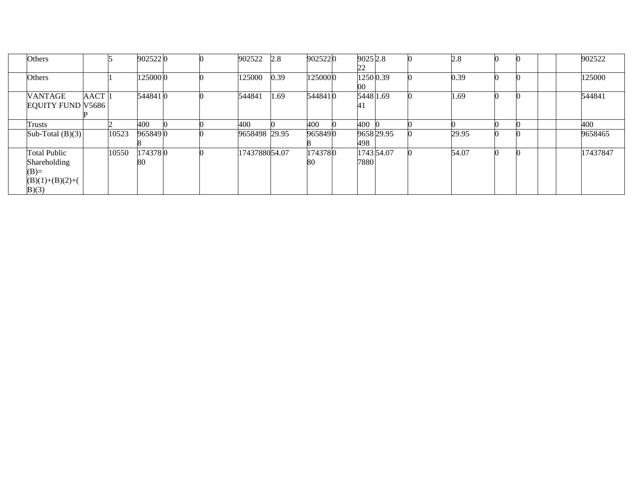| Others                   |             |       | 9025220 |  | 902522        | 2.8  | 9025220 | 9025 2.8  |            | 2.8   |  | 902522   |
|--------------------------|-------------|-------|---------|--|---------------|------|---------|-----------|------------|-------|--|----------|
|                          |             |       |         |  |               |      |         | 22        |            |       |  |          |
| Others                   |             |       | 1250000 |  | 125000        | 0.39 | 1250000 | 1250 0.39 |            | 0.39  |  | 125000   |
|                          |             |       |         |  |               |      |         | 00        |            |       |  |          |
| <b>VANTAGE</b>           | <b>AACT</b> |       | 5448410 |  | 544841        | 1.69 | 5448410 | 5448 1.69 |            | 1.69  |  | 544841   |
| <b>EQUITY FUND V5686</b> |             |       |         |  |               |      |         | 41        |            |       |  |          |
|                          |             |       |         |  |               |      |         |           |            |       |  |          |
| Trusts                   |             |       | 400     |  | 400           |      | 400     | 400       |            |       |  | 400      |
| Sub-Total $(B)(3)$       |             | 10523 | 9658490 |  | 9658498 29.95 |      | 9658490 |           | 9658 29.95 | 29.95 |  | 9658465  |
|                          |             |       |         |  |               |      |         | 498       |            |       |  |          |
| <b>Total Public</b>      |             | 10550 | 1743780 |  | 1743788054.07 |      | 1743780 |           | 1743 54.07 | 54.07 |  | 17437847 |
| Shareholding             |             |       | 80      |  |               |      | 80      | 7880      |            |       |  |          |
| $(B)=$                   |             |       |         |  |               |      |         |           |            |       |  |          |
| $(B)(1)+(B)(2)+($        |             |       |         |  |               |      |         |           |            |       |  |          |
| B(3)                     |             |       |         |  |               |      |         |           |            |       |  |          |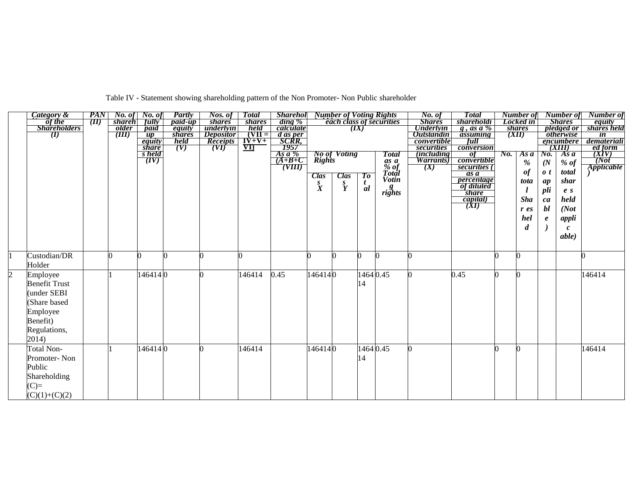|                | Category &           | PAN  |                     | No. of No. of                                   | Partly         | Nos. of          | <b>Total</b>             | <b>Sharehol</b> Number of Voting Rights                 |                  |                     |                |                                 | No. of             | <b>Total</b>             | Number of        |                    | Number of               | <b>Number</b> of                           |
|----------------|----------------------|------|---------------------|-------------------------------------------------|----------------|------------------|--------------------------|---------------------------------------------------------|------------------|---------------------|----------------|---------------------------------|--------------------|--------------------------|------------------|--------------------|-------------------------|--------------------------------------------|
|                | of the               | (II) | <i>shareh</i>       | fully                                           | <i>paid-up</i> | <i>shares</i>    | <i>shares</i>            | $\dim g$ %                                              |                  |                     |                | <b>each class of securities</b> | <b>Shares</b>      | <i>shareholdi</i>        | Locked in        |                    | <b>Shares</b>           | equity                                     |
|                | <b>Shareholders</b>  |      | <i><b>older</b></i> | paid                                            | equity         | underlyin        | held                     | calculate                                               |                  |                     | (IX)           |                                 | <b>Underlyin</b>   | $g$ , as a %             | <i>shares</i>    |                    | pledged or              | shares held                                |
|                | $\langle I \rangle$  |      | (III)               | $\overline{up}$                                 | <i>shares</i>  | <i>Depositor</i> | $(VII =$                 |                                                         |                  |                     |                |                                 | <b>Outstandin</b>  | assuming                 | (XII)            |                    | <i><b>otherwise</b></i> | $\overline{\mathbf{m}}$                    |
|                |                      |      |                     | equity                                          | held           | <b>Receipts</b>  | $I\overline{V} + V +$    | <i>d as per</i><br>SCRR,                                |                  |                     |                |                                 | <i>convertible</i> | full                     |                  |                    | encumbere               | demateriali                                |
|                |                      |      |                     | <i>share</i>                                    | (V)            | (VI)             | $\underline{\mathbf{v}}$ | 1957                                                    |                  |                     |                |                                 | securities         | conversion               |                  |                    | (XIII)                  | ed form                                    |
|                |                      |      |                     | $\frac{\overline{s} \text{ held}}{\text{(IV)}}$ |                |                  |                          | $As a \%$                                               |                  | <b>No of Voting</b> |                | <b>Total</b>                    | <i>(including)</i> | -of                      | No. As a         | No.                | As $\boldsymbol{a}$     | $\frac{\overline{(XY)}}{(\overline{Not})}$ |
|                |                      |      |                     |                                                 |                |                  |                          | $(A+B+C)$                                               | Rights           |                     |                | as a<br>% of<br>Total           | <i>Warrants</i> )  | convertible              | $\%$             | (N <sup>2</sup> )  | $%$ of                  |                                            |
|                |                      |      |                     |                                                 |                |                  |                          | $\overline{\overline{\text{}}(\overline{\text{VIII}})}$ |                  |                     |                |                                 | (X)                | securities (             | $\it of$         | $\boldsymbol{0}$ t | total                   | Applicable                                 |
|                |                      |      |                     |                                                 |                |                  |                          |                                                         | <b>Clas</b>      | <b>Clas</b>         | To             |                                 |                    | as a                     |                  |                    |                         |                                            |
|                |                      |      |                     |                                                 |                |                  |                          |                                                         | $\overset{S}{X}$ | $\frac{s}{Y}$       | $\frac{t}{al}$ | <b>Votin</b>                    |                    | percentage<br>of diluted | tota             | ap                 | shar                    |                                            |
|                |                      |      |                     |                                                 |                |                  |                          |                                                         |                  |                     |                | $\mathit{rights}$               |                    | <i>share</i>             |                  | pli                | e <sub>s</sub>          |                                            |
|                |                      |      |                     |                                                 |                |                  |                          |                                                         |                  |                     |                |                                 |                    |                          | <b>Sha</b>       | ca                 | held                    |                                            |
|                |                      |      |                     |                                                 |                |                  |                          |                                                         |                  |                     |                |                                 |                    | $\frac{capital)}{(XI)}$  |                  | bl                 |                         |                                            |
|                |                      |      |                     |                                                 |                |                  |                          |                                                         |                  |                     |                |                                 |                    |                          | $r$ es           |                    | (Not                    |                                            |
|                |                      |      |                     |                                                 |                |                  |                          |                                                         |                  |                     |                |                                 |                    |                          | hel              | $\pmb{e}$          | appli                   |                                            |
|                |                      |      |                     |                                                 |                |                  |                          |                                                         |                  |                     |                |                                 |                    |                          | $\boldsymbol{d}$ |                    | $\mathbf{c}$            |                                            |
|                |                      |      |                     |                                                 |                |                  |                          |                                                         |                  |                     |                |                                 |                    |                          |                  |                    | able)                   |                                            |
|                |                      |      |                     |                                                 |                |                  |                          |                                                         |                  |                     |                |                                 |                    |                          |                  |                    |                         |                                            |
|                |                      |      |                     |                                                 |                |                  |                          |                                                         |                  |                     |                |                                 |                    |                          |                  |                    |                         |                                            |
|                | Custodian/DR         |      |                     |                                                 |                |                  | 0                        |                                                         |                  |                     | 0              |                                 |                    |                          | n                |                    |                         |                                            |
|                | Holder               |      |                     |                                                 |                |                  |                          |                                                         |                  |                     |                |                                 |                    |                          |                  |                    |                         |                                            |
| $\overline{2}$ |                      |      |                     | 1464140                                         |                |                  | 146414                   | 0.45                                                    | 1464140          |                     | 1464 0.45      |                                 |                    | 0.45                     | ∩                |                    |                         | 146414                                     |
|                | Employee             |      |                     |                                                 |                |                  |                          |                                                         |                  |                     |                |                                 |                    |                          |                  |                    |                         |                                            |
|                | <b>Benefit Trust</b> |      |                     |                                                 |                |                  |                          |                                                         |                  |                     | 14             |                                 |                    |                          |                  |                    |                         |                                            |
|                | under SEBI           |      |                     |                                                 |                |                  |                          |                                                         |                  |                     |                |                                 |                    |                          |                  |                    |                         |                                            |
|                | Share based          |      |                     |                                                 |                |                  |                          |                                                         |                  |                     |                |                                 |                    |                          |                  |                    |                         |                                            |
|                |                      |      |                     |                                                 |                |                  |                          |                                                         |                  |                     |                |                                 |                    |                          |                  |                    |                         |                                            |
|                | Employee             |      |                     |                                                 |                |                  |                          |                                                         |                  |                     |                |                                 |                    |                          |                  |                    |                         |                                            |
|                | Benefit)             |      |                     |                                                 |                |                  |                          |                                                         |                  |                     |                |                                 |                    |                          |                  |                    |                         |                                            |
|                | Regulations,         |      |                     |                                                 |                |                  |                          |                                                         |                  |                     |                |                                 |                    |                          |                  |                    |                         |                                            |
|                | 2014)                |      |                     |                                                 |                |                  |                          |                                                         |                  |                     |                |                                 |                    |                          |                  |                    |                         |                                            |
|                |                      |      |                     |                                                 |                |                  |                          |                                                         |                  |                     |                |                                 |                    |                          |                  |                    |                         |                                            |
|                | <b>Total Non-</b>    |      |                     | 1464140                                         |                |                  | 146414                   |                                                         | 1464140          |                     | 1464 0.45      |                                 |                    |                          | ∩                |                    |                         | 146414                                     |
|                | Promoter-Non         |      |                     |                                                 |                |                  |                          |                                                         |                  |                     | 14             |                                 |                    |                          |                  |                    |                         |                                            |
|                | Public               |      |                     |                                                 |                |                  |                          |                                                         |                  |                     |                |                                 |                    |                          |                  |                    |                         |                                            |
|                |                      |      |                     |                                                 |                |                  |                          |                                                         |                  |                     |                |                                 |                    |                          |                  |                    |                         |                                            |
|                | Shareholding         |      |                     |                                                 |                |                  |                          |                                                         |                  |                     |                |                                 |                    |                          |                  |                    |                         |                                            |
|                | $(C)=$               |      |                     |                                                 |                |                  |                          |                                                         |                  |                     |                |                                 |                    |                          |                  |                    |                         |                                            |
|                | $(C)(1)+(C)(2)$      |      |                     |                                                 |                |                  |                          |                                                         |                  |                     |                |                                 |                    |                          |                  |                    |                         |                                            |

Table IV - Statement showing shareholding pattern of the Non Promoter- Non Public shareholder